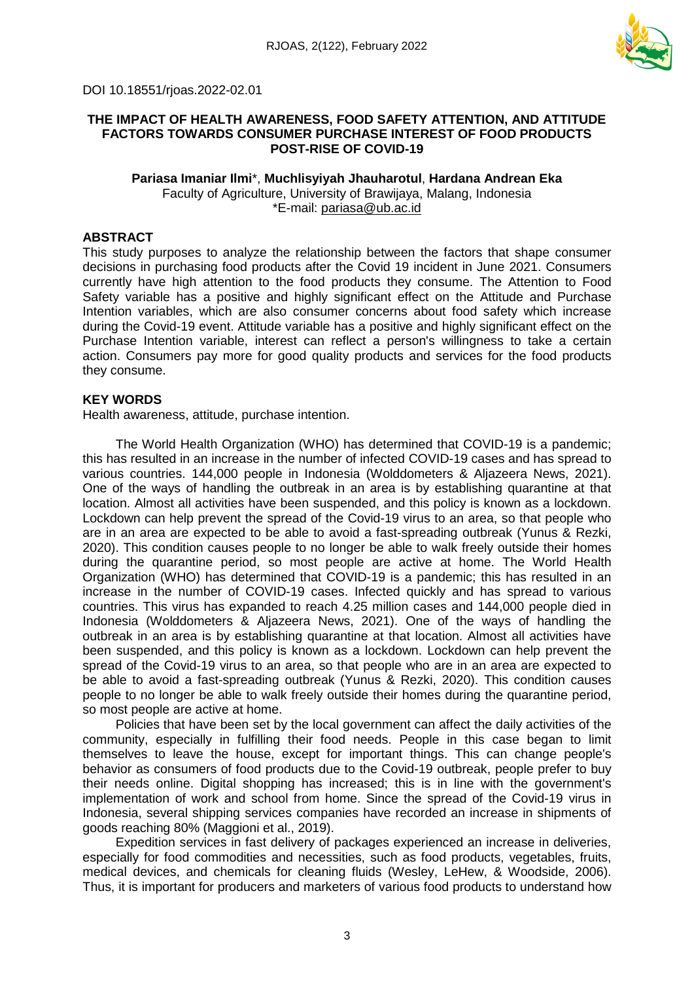

## **THE IMPACT OF HEALTH AWARENESS, FOOD SAFETY ATTENTION, AND ATTITUDE FACTORS TOWARDS CONSUMER PURCHASE INTEREST OF FOOD PRODUCTS POST-RISE OF COVID-19**

# **Pariasa Imaniar Ilmi**\*, **Muchlisyiyah Jhauharotul**, **Hardana Andrean Eka** Faculty of Agriculture, University of Brawijaya, Malang, Indonesia

\*E-mail: [pariasa@ub.ac.id](mailto:Pariasa@ub.ac.id)

# **ABSTRACT**

This study purposes to analyze the relationship between the factors that shape consumer decisions in purchasing food products after the Covid 19 incident in June 2021. Consumers currently have high attention to the food products they consume. The Attention to Food Safety variable has a positive and highly significant effect on the Attitude and Purchase Intention variables, which are also consumer concerns about food safety which increase during the Covid-19 event. Attitude variable has a positive and highly significant effect on the Purchase Intention variable, interest can reflect a person's willingness to take a certain action. Consumers pay more for good quality products and services for the food products they consume.

# **KEY WORDS**

Health awareness, attitude, purchase intention.

The World Health Organization (WHO) has determined that COVID-19 is a pandemic; this has resulted in an increase in the number of infected COVID-19 cases and has spread to various countries. 144,000 people in Indonesia (Wolddometers & Aljazeera News, 2021). One of the ways of handling the outbreak in an area is by establishing quarantine at that location. Almost all activities have been suspended, and this policy is known as a lockdown. Lockdown can help prevent the spread of the Covid-19 virus to an area, so that people who are in an area are expected to be able to avoid a fast-spreading outbreak (Yunus & Rezki, 2020). This condition causes people to no longer be able to walk freely outside their homes during the quarantine period, so most people are active at home. The World Health Organization (WHO) has determined that COVID-19 is a pandemic; this has resulted in an increase in the number of COVID-19 cases. Infected quickly and has spread to various countries. This virus has expanded to reach 4.25 million cases and 144,000 people died in Indonesia (Wolddometers & Aljazeera News, 2021). One of the ways of handling the outbreak in an area is by establishing quarantine at that location. Almost all activities have been suspended, and this policy is known as a lockdown. Lockdown can help prevent the spread of the Covid-19 virus to an area, so that people who are in an area are expected to be able to avoid a fast-spreading outbreak (Yunus & Rezki, 2020). This condition causes people to no longer be able to walk freely outside their homes during the quarantine period, so most people are active at home.

Policies that have been set by the local government can affect the daily activities of the community, especially in fulfilling their food needs. People in this case began to limit themselves to leave the house, except for important things. This can change people's behavior as consumers of food products due to the Covid-19 outbreak, people prefer to buy their needs online. Digital shopping has increased; this is in line with the government's implementation of work and school from home. Since the spread of the Covid-19 virus in Indonesia, several shipping services companies have recorded an increase in shipments of goods reaching 80% (Maggioni et al., 2019).

Expedition services in fast delivery of packages experienced an increase in deliveries, especially for food commodities and necessities, such as food products, vegetables, fruits, medical devices, and chemicals for cleaning fluids (Wesley, LeHew, & Woodside, 2006). Thus, it is important for producers and marketers of various food products to understand how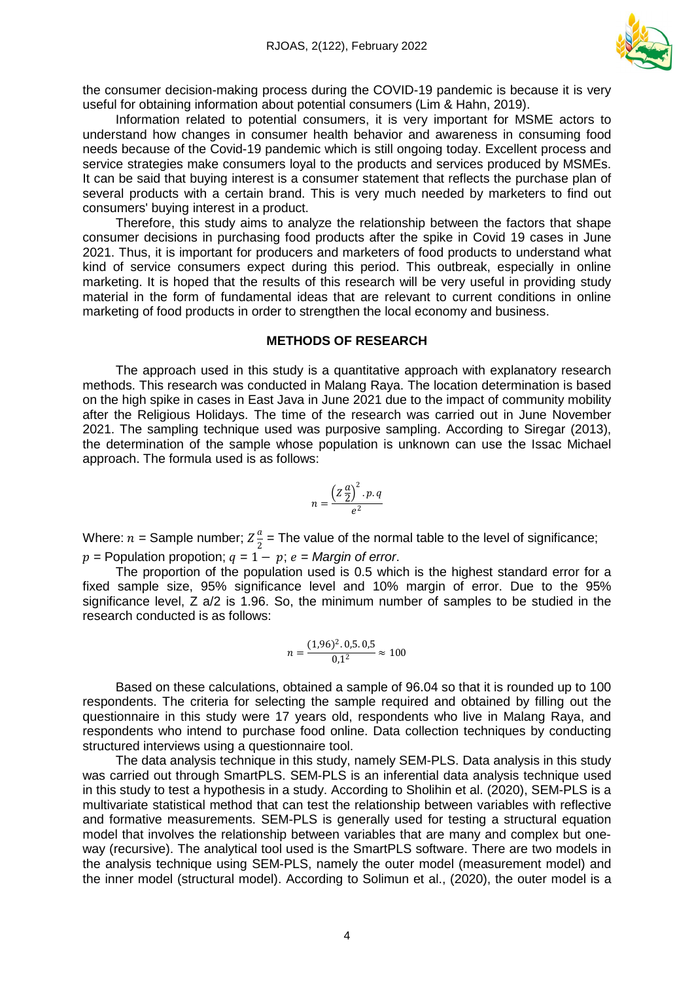

the consumer decision-making process during the COVID-19 pandemic is because it is very useful for obtaining information about potential consumers (Lim & Hahn, 2019).

Information related to potential consumers, it is very important for MSME actors to understand how changes in consumer health behavior and awareness in consuming food needs because of the Covid-19 pandemic which is still ongoing today. Excellent process and service strategies make consumers loyal to the products and services produced by MSMEs. It can be said that buying interest is a consumer statement that reflects the purchase plan of several products with a certain brand. This is very much needed by marketers to find out consumers' buying interest in a product.

Therefore, this study aims to analyze the relationship between the factors that shape consumer decisions in purchasing food products after the spike in Covid 19 cases in June 2021. Thus, it is important for producers and marketers of food products to understand what kind of service consumers expect during this period. This outbreak, especially in online marketing. It is hoped that the results of this research will be very useful in providing study material in the form of fundamental ideas that are relevant to current conditions in online marketing of food products in order to strengthen the local economy and business.

#### **METHODS OF RESEARCH**

The approach used in this study is a quantitative approach with explanatory research methods. This research was conducted in Malang Raya. The location determination is based on the high spike in cases in East Java in June 2021 due to the impact of community mobility after the Religious Holidays. The time of the research was carried out in June November 2021. The sampling technique used was purposive sampling. According to Siregar (2013), the determination of the sample whose population is unknown can use the Issac Michael approach. The formula used is as follows:

$$
n = \frac{\left(Z\frac{a}{2}\right)^2 \cdot p \cdot q}{e^2}
$$

Where:  $n =$  Sample number;  $Z\frac{a}{2}$  $\frac{u}{2}$  = The value of the normal table to the level of significance;  $p =$  Population propotion;  $q = 1 - p$ ;  $e =$  *Margin* of *error*.

The proportion of the population used is 0.5 which is the highest standard error for a fixed sample size, 95% significance level and 10% margin of error. Due to the 95% significance level, Z a/2 is 1.96. So, the minimum number of samples to be studied in the research conducted is as follows:

$$
n = \frac{(1,96)^2 \cdot 0,5 \cdot 0,5}{0,1^2} \approx 100
$$

Based on these calculations, obtained a sample of 96.04 so that it is rounded up to 100 respondents. The criteria for selecting the sample required and obtained by filling out the questionnaire in this study were 17 years old, respondents who live in Malang Raya, and respondents who intend to purchase food online. Data collection techniques by conducting structured interviews using a questionnaire tool.

The data analysis technique in this study, namely SEM-PLS. Data analysis in this study was carried out through SmartPLS. SEM-PLS is an inferential data analysis technique used in this study to test a hypothesis in a study. According to Sholihin et al. (2020), SEM-PLS is a multivariate statistical method that can test the relationship between variables with reflective and formative measurements. SEM-PLS is generally used for testing a structural equation model that involves the relationship between variables that are many and complex but oneway (recursive). The analytical tool used is the SmartPLS software. There are two models in the analysis technique using SEM-PLS, namely the outer model (measurement model) and the inner model (structural model). According to Solimun et al., (2020), the outer model is a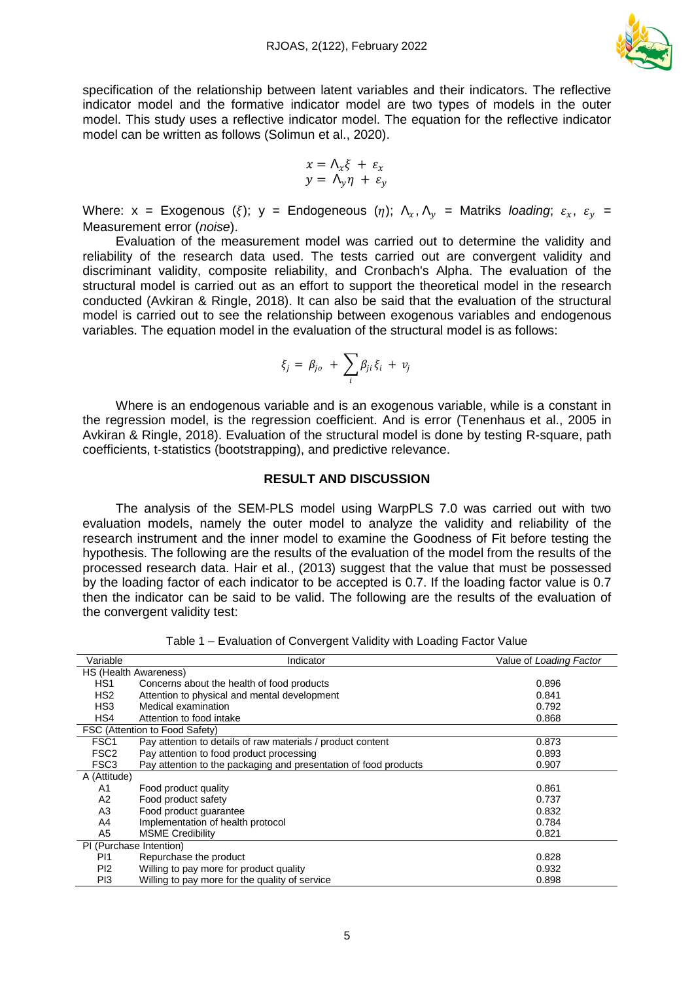

specification of the relationship between latent variables and their indicators. The reflective indicator model and the formative indicator model are two types of models in the outer model. This study uses a reflective indicator model. The equation for the reflective indicator model can be written as follows (Solimun et al., 2020).

$$
x = \Lambda_x \xi + \varepsilon_x
$$
  

$$
y = \Lambda_y \eta + \varepsilon_y
$$

Where:  $x$  = Exogenous ( $\xi$ );  $y$  = Endogeneous ( $\eta$ );  $\Lambda_x$ ,  $\Lambda_y$  = Matriks *loading*;  $\varepsilon_x$ ,  $\varepsilon_y$  = Measurement error (*noise*).

Evaluation of the measurement model was carried out to determine the validity and reliability of the research data used. The tests carried out are convergent validity and discriminant validity, composite reliability, and Cronbach's Alpha. The evaluation of the structural model is carried out as an effort to support the theoretical model in the research conducted (Avkiran & Ringle, 2018). It can also be said that the evaluation of the structural model is carried out to see the relationship between exogenous variables and endogenous variables. The equation model in the evaluation of the structural model is as follows:

$$
\xi_j = \beta_{jo} + \sum_i \beta_{ji} \xi_i + v_j
$$

Where is an endogenous variable and is an exogenous variable, while is a constant in the regression model, is the regression coefficient. And is error (Tenenhaus et al., 2005 in Avkiran & Ringle, 2018). Evaluation of the structural model is done by testing R-square, path coefficients, t-statistics (bootstrapping), and predictive relevance.

## **RESULT AND DISCUSSION**

The analysis of the SEM-PLS model using WarpPLS 7.0 was carried out with two evaluation models, namely the outer model to analyze the validity and reliability of the research instrument and the inner model to examine the Goodness of Fit before testing the hypothesis. The following are the results of the evaluation of the model from the results of the processed research data. Hair et al., (2013) suggest that the value that must be possessed by the loading factor of each indicator to be accepted is 0.7. If the loading factor value is 0.7 then the indicator can be said to be valid. The following are the results of the evaluation of the convergent validity test:

| Variable         | Indicator                                                        | Value of Loading Factor |
|------------------|------------------------------------------------------------------|-------------------------|
|                  | HS (Health Awareness)                                            |                         |
| HS <sub>1</sub>  | Concerns about the health of food products                       | 0.896                   |
| HS <sub>2</sub>  | Attention to physical and mental development                     | 0.841                   |
| HS3              | Medical examination                                              | 0.792                   |
| HS4              | Attention to food intake                                         | 0.868                   |
|                  | FSC (Attention to Food Safety)                                   |                         |
| FSC <sub>1</sub> | Pay attention to details of raw materials / product content      | 0.873                   |
| FSC <sub>2</sub> | Pay attention to food product processing                         | 0.893                   |
| FSC <sub>3</sub> | Pay attention to the packaging and presentation of food products | 0.907                   |
| A (Attitude)     |                                                                  |                         |
| A1               | Food product quality                                             | 0.861                   |
| A <sub>2</sub>   | Food product safety                                              | 0.737                   |
| A3               | Food product guarantee                                           | 0.832                   |
| A4               | Implementation of health protocol                                | 0.784                   |
| A5               | <b>MSME Credibility</b>                                          | 0.821                   |
|                  | PI (Purchase Intention)                                          |                         |
| P <sub>11</sub>  | Repurchase the product                                           | 0.828                   |
| P <sub>12</sub>  | Willing to pay more for product quality                          | 0.932                   |
| P <sub>13</sub>  | Willing to pay more for the quality of service                   | 0.898                   |
|                  |                                                                  |                         |

Table 1 – Evaluation of Convergent Validity with Loading Factor Value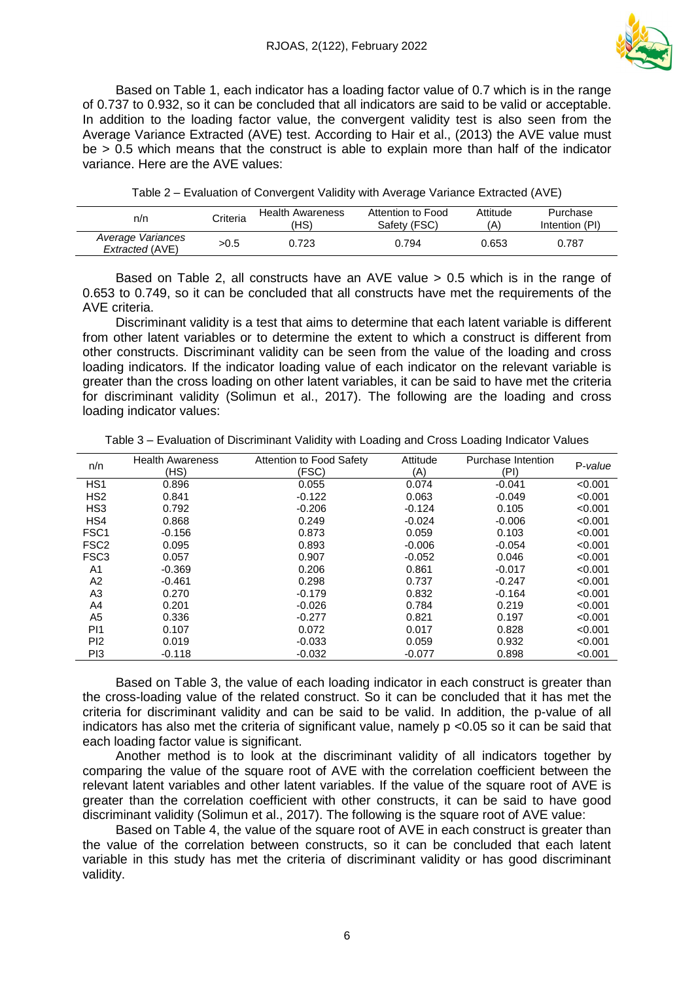

Based on Table 1, each indicator has a loading factor value of 0.7 which is in the range of 0.737 to 0.932, so it can be concluded that all indicators are said to be valid or acceptable. In addition to the loading factor value, the convergent validity test is also seen from the Average Variance Extracted (AVE) test. According to Hair et al., (2013) the AVE value must be > 0.5 which means that the construct is able to explain more than half of the indicator variance. Here are the AVE values:

| Table 2 – Evaluation of Convergent Validity with Average Variance Extracted (AVE) |  |  |
|-----------------------------------------------------------------------------------|--|--|
|-----------------------------------------------------------------------------------|--|--|

| n/n                                  | Criteria | <b>Health Awareness</b><br>'HS) | Attention to Food<br>Safety (FSC) | Attitude<br>(A) | Purchase<br>Intention (PI) |
|--------------------------------------|----------|---------------------------------|-----------------------------------|-----------------|----------------------------|
| Average Variances<br>Extracted (AVE) | >0.5     | 0.723                           | 0.794                             | 0.653           | 0.787                      |

Based on Table 2, all constructs have an AVE value > 0.5 which is in the range of 0.653 to 0.749, so it can be concluded that all constructs have met the requirements of the AVE criteria.

Discriminant validity is a test that aims to determine that each latent variable is different from other latent variables or to determine the extent to which a construct is different from other constructs. Discriminant validity can be seen from the value of the loading and cross loading indicators. If the indicator loading value of each indicator on the relevant variable is greater than the cross loading on other latent variables, it can be said to have met the criteria for discriminant validity (Solimun et al., 2017). The following are the loading and cross loading indicator values:

| Table 3 – Evaluation of Discriminant Validity with Loading and Cross Loading Indicator Values |  |  |
|-----------------------------------------------------------------------------------------------|--|--|
|                                                                                               |  |  |

| n/n              | <b>Health Awareness</b><br>(HS) | Attention to Food Safety<br>(FSC) | Attitude<br>(A) | Purchase Intention<br>(PI) | P-value |
|------------------|---------------------------------|-----------------------------------|-----------------|----------------------------|---------|
| HS <sub>1</sub>  | 0.896                           | 0.055                             | 0.074           | $-0.041$                   | < 0.001 |
| HS <sub>2</sub>  | 0.841                           | $-0.122$                          | 0.063           | $-0.049$                   | < 0.001 |
| HS <sub>3</sub>  | 0.792                           | $-0.206$                          | $-0.124$        | 0.105                      | < 0.001 |
| HS4              | 0.868                           | 0.249                             | $-0.024$        | $-0.006$                   | < 0.001 |
| FSC <sub>1</sub> | $-0.156$                        | 0.873                             | 0.059           | 0.103                      | < 0.001 |
| FSC <sub>2</sub> | 0.095                           | 0.893                             | $-0.006$        | $-0.054$                   | < 0.001 |
| FSC <sub>3</sub> | 0.057                           | 0.907                             | $-0.052$        | 0.046                      | < 0.001 |
| A1               | $-0.369$                        | 0.206                             | 0.861           | $-0.017$                   | < 0.001 |
| A2               | $-0.461$                        | 0.298                             | 0.737           | $-0.247$                   | < 0.001 |
| A3               | 0.270                           | $-0.179$                          | 0.832           | $-0.164$                   | < 0.001 |
| A4               | 0.201                           | $-0.026$                          | 0.784           | 0.219                      | < 0.001 |
| A <sub>5</sub>   | 0.336                           | $-0.277$                          | 0.821           | 0.197                      | < 0.001 |
| P <sub>11</sub>  | 0.107                           | 0.072                             | 0.017           | 0.828                      | < 0.001 |
| P <sub>12</sub>  | 0.019                           | $-0.033$                          | 0.059           | 0.932                      | < 0.001 |
| PI3              | $-0.118$                        | $-0.032$                          | $-0.077$        | 0.898                      | < 0.001 |

Based on Table 3, the value of each loading indicator in each construct is greater than the cross-loading value of the related construct. So it can be concluded that it has met the criteria for discriminant validity and can be said to be valid. In addition, the p-value of all indicators has also met the criteria of significant value, namely p <0.05 so it can be said that each loading factor value is significant.

Another method is to look at the discriminant validity of all indicators together by comparing the value of the square root of AVE with the correlation coefficient between the relevant latent variables and other latent variables. If the value of the square root of AVE is greater than the correlation coefficient with other constructs, it can be said to have good discriminant validity (Solimun et al., 2017). The following is the square root of AVE value:

Based on Table 4, the value of the square root of AVE in each construct is greater than the value of the correlation between constructs, so it can be concluded that each latent variable in this study has met the criteria of discriminant validity or has good discriminant validity.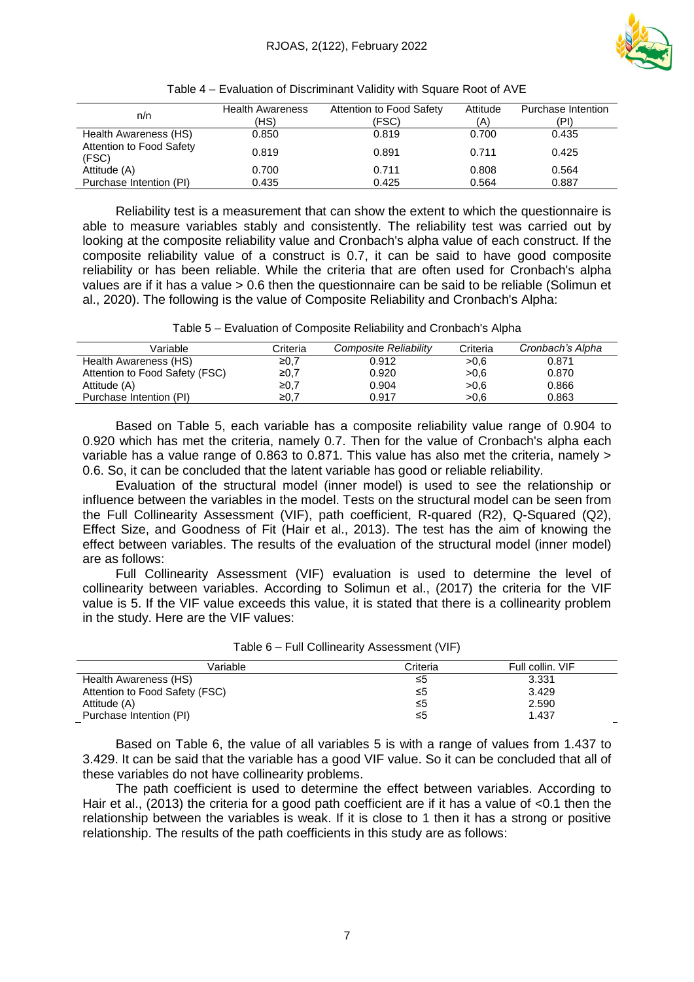

| n/n                               | <b>Health Awareness</b><br>(HS) | Attention to Food Safety<br>(FSC) | Attitude<br>(A) | Purchase Intention<br>(PI) |
|-----------------------------------|---------------------------------|-----------------------------------|-----------------|----------------------------|
| Health Awareness (HS)             | 0.850                           | 0.819                             | 0.700           | 0.435                      |
| Attention to Food Safety<br>(FSC) | 0.819                           | 0.891                             | 0.711           | 0.425                      |
| Attitude (A)                      | 0.700                           | 0.711                             | 0.808           | 0.564                      |
| Purchase Intention (PI)           | 0.435                           | 0.425                             | 0.564           | 0.887                      |

Table 4 – Evaluation of Discriminant Validity with Square Root of AVE

Reliability test is a measurement that can show the extent to which the questionnaire is able to measure variables stably and consistently. The reliability test was carried out by looking at the composite reliability value and Cronbach's alpha value of each construct. If the composite reliability value of a construct is 0.7, it can be said to have good composite reliability or has been reliable. While the criteria that are often used for Cronbach's alpha values are if it has a value > 0.6 then the questionnaire can be said to be reliable (Solimun et al., 2020). The following is the value of Composite Reliability and Cronbach's Alpha:

| Table 5 - Evaluation of Composite Reliability and Cronbach's Alpha |  |  |
|--------------------------------------------------------------------|--|--|
|                                                                    |  |  |

| Variable                       | Criteria | Composite Reliability | Criteria | Cronbach's Alpha |
|--------------------------------|----------|-----------------------|----------|------------------|
| Health Awareness (HS)          | ≥ $0,7$  | 0.912                 | >0.6     | 0.871            |
| Attention to Food Safety (FSC) | ≥ $0,7$  | 0.920                 | >0.6     | 0.870            |
| Attitude (A)                   | ≥0.7     | 0.904                 | >0.6     | 0.866            |
| Purchase Intention (PI)        | ≥0.7     | 0.917                 | >0.6     | 0.863            |

Based on Table 5, each variable has a composite reliability value range of 0.904 to 0.920 which has met the criteria, namely 0.7. Then for the value of Cronbach's alpha each variable has a value range of 0.863 to 0.871. This value has also met the criteria, namely > 0.6. So, it can be concluded that the latent variable has good or reliable reliability.

Evaluation of the structural model (inner model) is used to see the relationship or influence between the variables in the model. Tests on the structural model can be seen from the Full Collinearity Assessment (VIF), path coefficient, R-quared (R2), Q-Squared (Q2), Effect Size, and Goodness of Fit (Hair et al., 2013). The test has the aim of knowing the effect between variables. The results of the evaluation of the structural model (inner model) are as follows:

Full Collinearity Assessment (VIF) evaluation is used to determine the level of collinearity between variables. According to Solimun et al., (2017) the criteria for the VIF value is 5. If the VIF value exceeds this value, it is stated that there is a collinearity problem in the study. Here are the VIF values:

| Variable                       | Criteria | Full collin, VIF |  |
|--------------------------------|----------|------------------|--|
| Health Awareness (HS)          | ≤5       | 3.331            |  |
| Attention to Food Safety (FSC) | ≤5       | 3.429            |  |
| Attitude (A)                   | ≤5       | 2.590            |  |
| Purchase Intention (PI)        | ≤5       | 1.437            |  |
|                                |          |                  |  |

| Table 6 - Full Collinearity Assessment (VIF) |  |  |
|----------------------------------------------|--|--|
|----------------------------------------------|--|--|

Based on Table 6, the value of all variables 5 is with a range of values from 1.437 to 3.429. It can be said that the variable has a good VIF value. So it can be concluded that all of these variables do not have collinearity problems.

The path coefficient is used to determine the effect between variables. According to Hair et al., (2013) the criteria for a good path coefficient are if it has a value of <0.1 then the relationship between the variables is weak. If it is close to 1 then it has a strong or positive relationship. The results of the path coefficients in this study are as follows: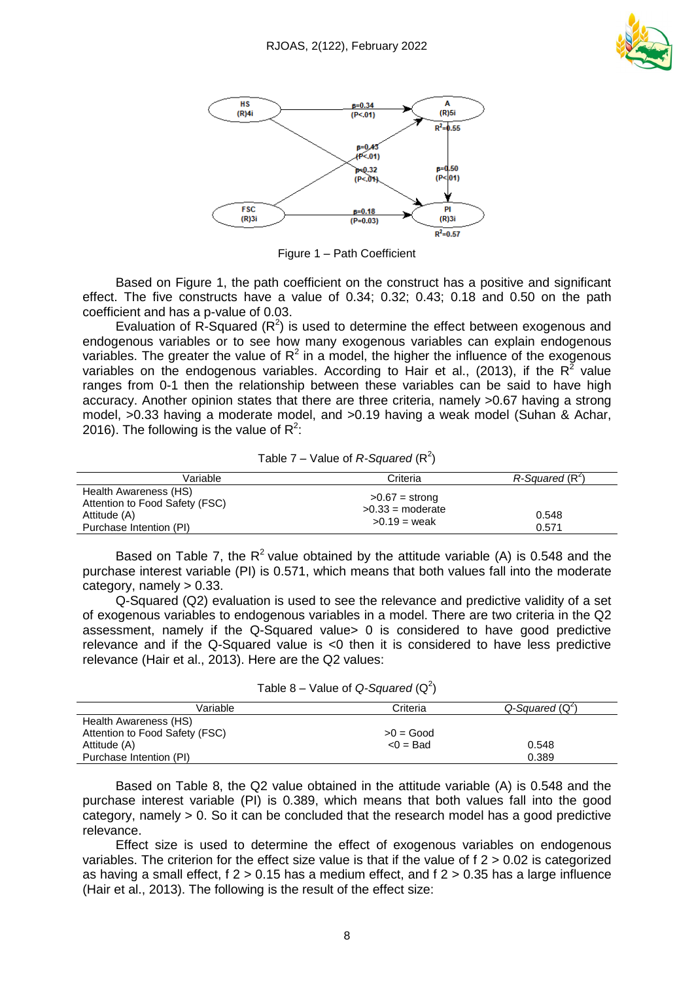



Figure 1 – Path Coefficient

Based on Figure 1, the path coefficient on the construct has a positive and significant effect. The five constructs have a value of 0.34; 0.32; 0.43; 0.18 and 0.50 on the path coefficient and has a p-value of 0.03.

Evaluation of R-Squared  $(R^2)$  is used to determine the effect between exogenous and endogenous variables or to see how many exogenous variables can explain endogenous variables. The greater the value of  $R^2$  in a model, the higher the influence of the exogenous variables on the endogenous variables. According to Hair et al., (2013), if the R<sup>2</sup> value ranges from 0-1 then the relationship between these variables can be said to have high accuracy. Another opinion states that there are three criteria, namely >0.67 having a strong model, >0.33 having a moderate model, and >0.19 having a weak model (Suhan & Achar, 2016). The following is the value of R<sup>2</sup>:

Table 7 – Value of  $R$ -Squared ( $R^2$ )

| Variable                                                                                           | Criteria                                                 | $R$ -Sauared ( $R2$ ) |
|----------------------------------------------------------------------------------------------------|----------------------------------------------------------|-----------------------|
| Health Awareness (HS)<br>Attention to Food Safety (FSC)<br>Attitude (A)<br>Purchase Intention (PI) | $>0.67$ = strong<br>$>0.33$ = moderate<br>$>0.19$ = weak | 0.548<br>0.571        |

Based on Table 7, the  $R^2$  value obtained by the attitude variable (A) is 0.548 and the purchase interest variable (PI) is 0.571, which means that both values fall into the moderate category, namely  $> 0.33$ .

Q-Squared (Q2) evaluation is used to see the relevance and predictive validity of a set of exogenous variables to endogenous variables in a model. There are two criteria in the Q2 assessment, namely if the Q-Squared value> 0 is considered to have good predictive relevance and if the Q-Squared value is <0 then it is considered to have less predictive relevance (Hair et al., 2013). Here are the Q2 values:

|  |  | Table 8 – Value of Q-Squared $(Q^2)$ |  |
|--|--|--------------------------------------|--|
|--|--|--------------------------------------|--|

| Variable                       | Criteria    | Q-Squared (Q <sup>2</sup> ) |
|--------------------------------|-------------|-----------------------------|
| Health Awareness (HS)          |             |                             |
| Attention to Food Safety (FSC) | $>0 = Good$ |                             |
| Attitude (A)                   | $< 0$ = Bad | 0.548                       |
| Purchase Intention (PI)        |             | 0.389                       |

Based on Table 8, the Q2 value obtained in the attitude variable (A) is 0.548 and the purchase interest variable (PI) is 0.389, which means that both values fall into the good category, namely  $> 0$ . So it can be concluded that the research model has a good predictive relevance.

Effect size is used to determine the effect of exogenous variables on endogenous variables. The criterion for the effect size value is that if the value of f 2 > 0.02 is categorized as having a small effect,  $f$  2 > 0.15 has a medium effect, and  $f$  2 > 0.35 has a large influence (Hair et al., 2013). The following is the result of the effect size: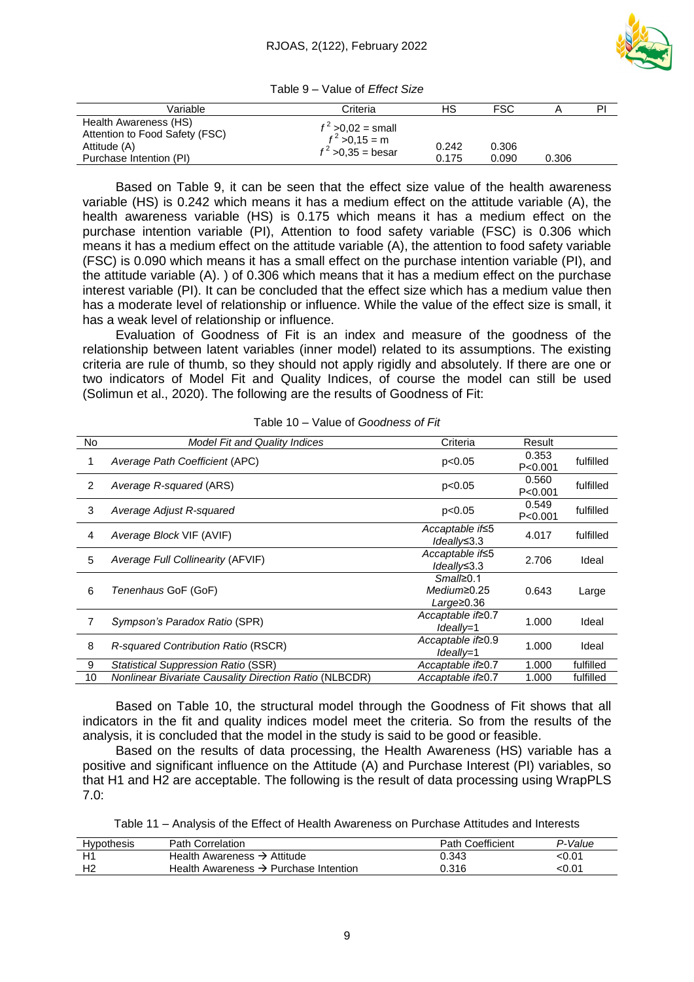

|  |  | Table 9 – Value of Effect Size |
|--|--|--------------------------------|
|--|--|--------------------------------|

| Variable                                                                                           | Criteria                                                         | НS             | <b>FSC</b>     |       | ΡI |
|----------------------------------------------------------------------------------------------------|------------------------------------------------------------------|----------------|----------------|-------|----|
| Health Awareness (HS)<br>Attention to Food Safety (FSC)<br>Attitude (A)<br>Purchase Intention (PI) | $f^2 > 0.02$ = small<br>$f^2 > 0,15 = m$<br>$f^2 > 0,35 =$ besar | 0.242<br>0.175 | 0.306<br>0.090 | 0.306 |    |

Based on Table 9, it can be seen that the effect size value of the health awareness variable (HS) is 0.242 which means it has a medium effect on the attitude variable (A), the health awareness variable (HS) is 0.175 which means it has a medium effect on the purchase intention variable (PI), Attention to food safety variable (FSC) is 0.306 which means it has a medium effect on the attitude variable (A), the attention to food safety variable (FSC) is 0.090 which means it has a small effect on the purchase intention variable (PI), and the attitude variable (A). ) of 0.306 which means that it has a medium effect on the purchase interest variable (PI). It can be concluded that the effect size which has a medium value then has a moderate level of relationship or influence. While the value of the effect size is small, it has a weak level of relationship or influence.

Evaluation of Goodness of Fit is an index and measure of the goodness of the relationship between latent variables (inner model) related to its assumptions. The existing criteria are rule of thumb, so they should not apply rigidly and absolutely. If there are one or two indicators of Model Fit and Quality Indices, of course the model can still be used (Solimun et al., 2020). The following are the results of Goodness of Fit:

| No             | <b>Model Fit and Quality Indices</b>                          | Criteria                                            | Result             |           |
|----------------|---------------------------------------------------------------|-----------------------------------------------------|--------------------|-----------|
| 1              | Average Path Coefficient (APC)                                | p<0.05                                              | 0.353<br>P < 0.001 | fulfilled |
| $\overline{2}$ | Average R-squared (ARS)                                       | p<0.05                                              | 0.560<br>P < 0.001 | fulfilled |
| 3              | Average Adjust R-squared                                      | p<0.05                                              | 0.549<br>P < 0.001 | fulfilled |
| 4              | Average Block VIF (AVIF)                                      | Accaptable if≤5<br>$Ideally \leq 3.3$               | 4.017              | fulfilled |
| 5              | Average Full Collinearity (AFVIF)                             | Accaptable if≤5<br>$Ideallv \leq 3.3$               | 2.706              | Ideal     |
| 6              | Tenenhaus GoF (GoF)                                           | $Smal \geq 0.1$<br>$Medium \geq 0.25$<br>Large≥0.36 | 0.643              | Large     |
| 7              | Sympson's Paradox Ratio (SPR)                                 | Accaptable if≥0.7<br>Ideally=1                      | 1.000              | Ideal     |
| 8              | <b>R-squared Contribution Ratio (RSCR)</b>                    | Accaptable if≥0.9<br>Ideally=1                      | 1.000              | Ideal     |
| 9              | <b>Statistical Suppression Ratio (SSR)</b>                    | Accaptable if≥0.7                                   | 1.000              | fulfilled |
| 10             | <b>Nonlinear Bivariate Causality Direction Ratio (NLBCDR)</b> | Accaptable if≥0.7                                   | 1.000              | fulfilled |

| Table 10 – Value of Goodness of Fit |  |
|-------------------------------------|--|
|-------------------------------------|--|

Based on Table 10, the structural model through the Goodness of Fit shows that all indicators in the fit and quality indices model meet the criteria. So from the results of the analysis, it is concluded that the model in the study is said to be good or feasible.

Based on the results of data processing, the Health Awareness (HS) variable has a positive and significant influence on the Attitude (A) and Purchase Interest (PI) variables, so that H1 and H2 are acceptable. The following is the result of data processing using WrapPLS 7.0:

Table 11 – Analysis of the Effect of Health Awareness on Purchase Attitudes and Interests

| Hypothesis | <b>Path Correlation</b>                           | <b>Path Coefficient</b> | P-Value |
|------------|---------------------------------------------------|-------------------------|---------|
|            | Health Awareness $\rightarrow$ Attitude           | 0.343                   |         |
|            | Health Awareness $\rightarrow$ Purchase Intention | 0.316                   |         |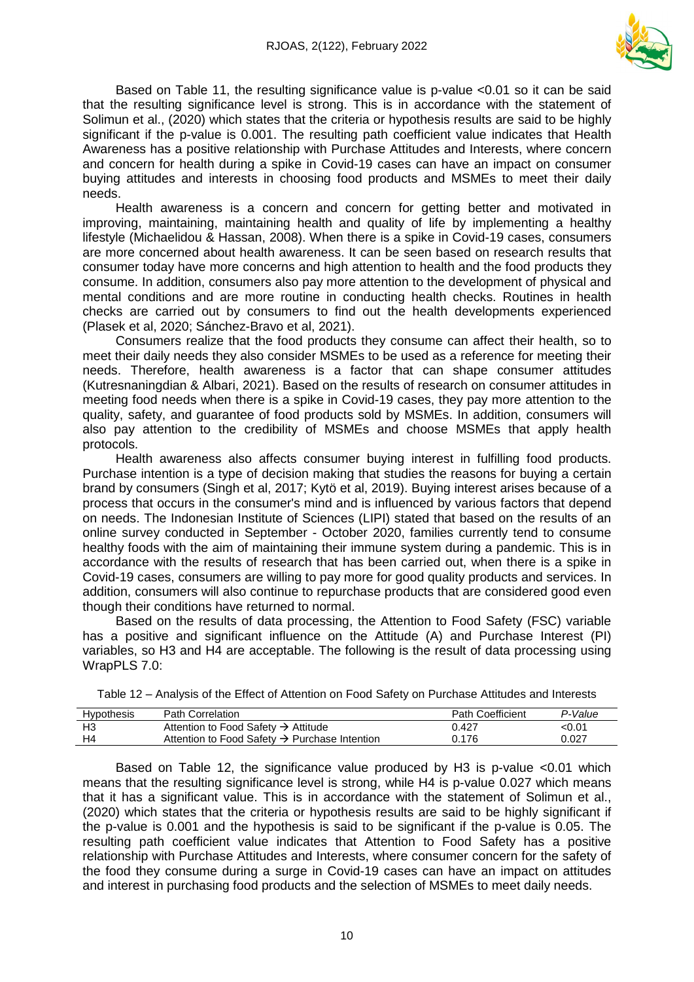

Based on Table 11, the resulting significance value is p-value <0.01 so it can be said that the resulting significance level is strong. This is in accordance with the statement of Solimun et al., (2020) which states that the criteria or hypothesis results are said to be highly significant if the p-value is 0.001. The resulting path coefficient value indicates that Health Awareness has a positive relationship with Purchase Attitudes and Interests, where concern and concern for health during a spike in Covid-19 cases can have an impact on consumer buying attitudes and interests in choosing food products and MSMEs to meet their daily needs.

Health awareness is a concern and concern for getting better and motivated in improving, maintaining, maintaining health and quality of life by implementing a healthy lifestyle (Michaelidou & Hassan, 2008). When there is a spike in Covid-19 cases, consumers are more concerned about health awareness. It can be seen based on research results that consumer today have more concerns and high attention to health and the food products they consume. In addition, consumers also pay more attention to the development of physical and mental conditions and are more routine in conducting health checks. Routines in health checks are carried out by consumers to find out the health developments experienced (Plasek et al, 2020; Sánchez-Bravo et al, 2021).

Consumers realize that the food products they consume can affect their health, so to meet their daily needs they also consider MSMEs to be used as a reference for meeting their needs. Therefore, health awareness is a factor that can shape consumer attitudes (Kutresnaningdian & Albari, 2021). Based on the results of research on consumer attitudes in meeting food needs when there is a spike in Covid-19 cases, they pay more attention to the quality, safety, and guarantee of food products sold by MSMEs. In addition, consumers will also pay attention to the credibility of MSMEs and choose MSMEs that apply health protocols.

Health awareness also affects consumer buying interest in fulfilling food products. Purchase intention is a type of decision making that studies the reasons for buying a certain brand by consumers (Singh et al, 2017; Kytö et al, 2019). Buying interest arises because of a process that occurs in the consumer's mind and is influenced by various factors that depend on needs. The Indonesian Institute of Sciences (LIPI) stated that based on the results of an online survey conducted in September - October 2020, families currently tend to consume healthy foods with the aim of maintaining their immune system during a pandemic. This is in accordance with the results of research that has been carried out, when there is a spike in Covid-19 cases, consumers are willing to pay more for good quality products and services. In addition, consumers will also continue to repurchase products that are considered good even though their conditions have returned to normal.

Based on the results of data processing, the Attention to Food Safety (FSC) variable has a positive and significant influence on the Attitude (A) and Purchase Interest (PI) variables, so H3 and H4 are acceptable. The following is the result of data processing using WrapPLS 7.0:

| Hypothesis     | <b>Path Correlation</b>                                   | <b>Path Coefficient</b> | P-Value |
|----------------|-----------------------------------------------------------|-------------------------|---------|
| H <sub>3</sub> | Attention to Food Safety $\rightarrow$ Attitude           | 0.427                   | <0.01   |
| H4             | Attention to Food Safety $\rightarrow$ Purchase Intention | 0.176                   | 0.027   |

Table 12 – Analysis of the Effect of Attention on Food Safety on Purchase Attitudes and Interests

Based on Table 12, the significance value produced by H3 is p-value <0.01 which means that the resulting significance level is strong, while H4 is p-value 0.027 which means that it has a significant value. This is in accordance with the statement of Solimun et al., (2020) which states that the criteria or hypothesis results are said to be highly significant if the p-value is 0.001 and the hypothesis is said to be significant if the p-value is 0.05. The resulting path coefficient value indicates that Attention to Food Safety has a positive relationship with Purchase Attitudes and Interests, where consumer concern for the safety of the food they consume during a surge in Covid-19 cases can have an impact on attitudes and interest in purchasing food products and the selection of MSMEs to meet daily needs.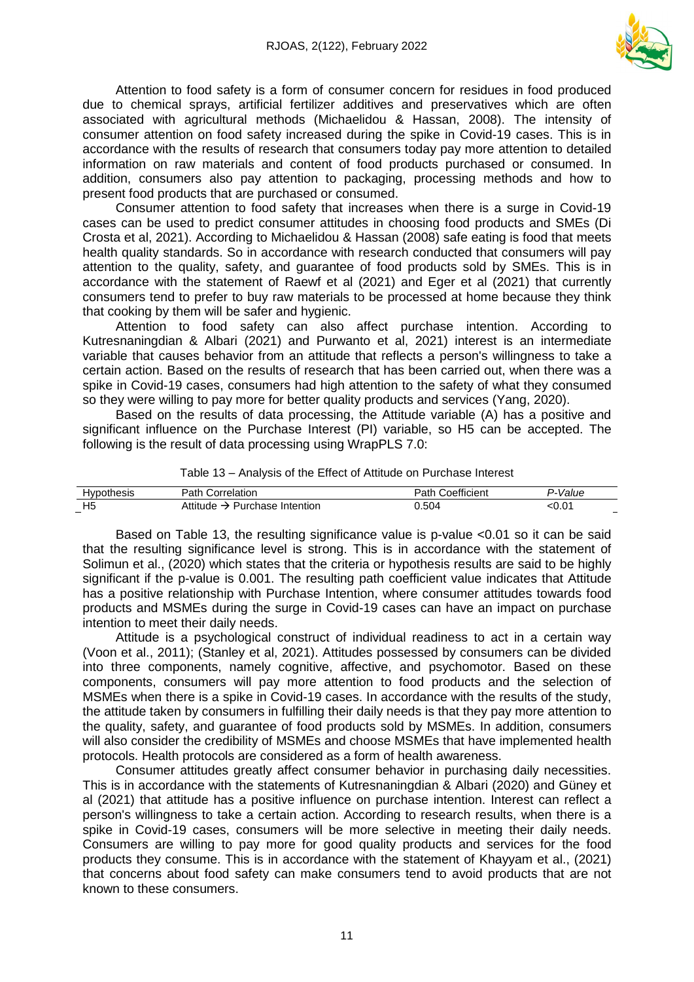

Attention to food safety is a form of consumer concern for residues in food produced due to chemical sprays, artificial fertilizer additives and preservatives which are often associated with agricultural methods (Michaelidou & Hassan, 2008). The intensity of consumer attention on food safety increased during the spike in Covid-19 cases. This is in accordance with the results of research that consumers today pay more attention to detailed information on raw materials and content of food products purchased or consumed. In addition, consumers also pay attention to packaging, processing methods and how to present food products that are purchased or consumed.

Consumer attention to food safety that increases when there is a surge in Covid-19 cases can be used to predict consumer attitudes in choosing food products and SMEs (Di Crosta et al, 2021). According to Michaelidou & Hassan (2008) safe eating is food that meets health quality standards. So in accordance with research conducted that consumers will pay attention to the quality, safety, and guarantee of food products sold by SMEs. This is in accordance with the statement of Raewf et al (2021) and Eger et al (2021) that currently consumers tend to prefer to buy raw materials to be processed at home because they think that cooking by them will be safer and hygienic.

Attention to food safety can also affect purchase intention. According to Kutresnaningdian & Albari (2021) and Purwanto et al, 2021) interest is an intermediate variable that causes behavior from an attitude that reflects a person's willingness to take a certain action. Based on the results of research that has been carried out, when there was a spike in Covid-19 cases, consumers had high attention to the safety of what they consumed so they were willing to pay more for better quality products and services (Yang, 2020).

Based on the results of data processing, the Attitude variable (A) has a positive and significant influence on the Purchase Interest (PI) variable, so H5 can be accepted. The following is the result of data processing using WrapPLS 7.0:

| Hvr            | Doth<br>∴∩rr<br>reiation<br>dlii | <br>$\overline{\phantom{a}}$<br>ficient<br>חר<br>dl. | 'alue |
|----------------|----------------------------------|------------------------------------------------------|-------|
| H <sub>5</sub> | Intention<br>145C                | 504                                                  |       |
|                |                                  |                                                      |       |

Table 13 – Analysis of the Effect of Attitude on Purchase Interest

Based on Table 13, the resulting significance value is p-value <0.01 so it can be said that the resulting significance level is strong. This is in accordance with the statement of Solimun et al., (2020) which states that the criteria or hypothesis results are said to be highly significant if the p-value is 0.001. The resulting path coefficient value indicates that Attitude has a positive relationship with Purchase Intention, where consumer attitudes towards food products and MSMEs during the surge in Covid-19 cases can have an impact on purchase intention to meet their daily needs.

Attitude is a psychological construct of individual readiness to act in a certain way (Voon et al., 2011); (Stanley et al, 2021). Attitudes possessed by consumers can be divided into three components, namely cognitive, affective, and psychomotor. Based on these components, consumers will pay more attention to food products and the selection of MSMEs when there is a spike in Covid-19 cases. In accordance with the results of the study, the attitude taken by consumers in fulfilling their daily needs is that they pay more attention to the quality, safety, and guarantee of food products sold by MSMEs. In addition, consumers will also consider the credibility of MSMEs and choose MSMEs that have implemented health protocols. Health protocols are considered as a form of health awareness.

Consumer attitudes greatly affect consumer behavior in purchasing daily necessities. This is in accordance with the statements of Kutresnaningdian & Albari (2020) and Güney et al (2021) that attitude has a positive influence on purchase intention. Interest can reflect a person's willingness to take a certain action. According to research results, when there is a spike in Covid-19 cases, consumers will be more selective in meeting their daily needs. Consumers are willing to pay more for good quality products and services for the food products they consume. This is in accordance with the statement of Khayyam et al., (2021) that concerns about food safety can make consumers tend to avoid products that are not known to these consumers.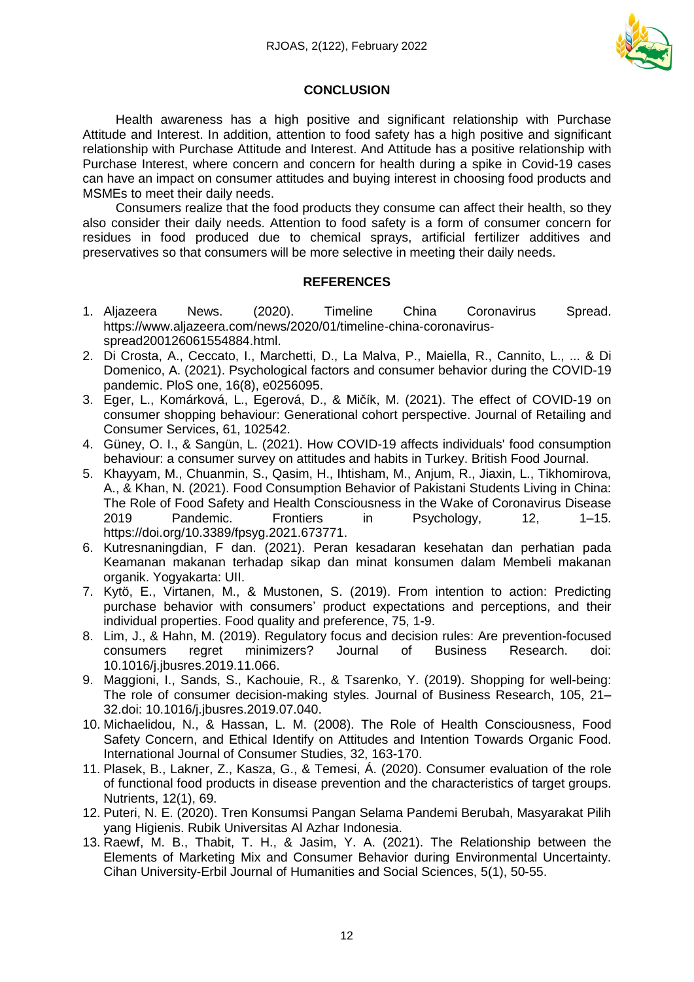

# **CONCLUSION**

Health awareness has a high positive and significant relationship with Purchase Attitude and Interest. In addition, attention to food safety has a high positive and significant relationship with Purchase Attitude and Interest. And Attitude has a positive relationship with Purchase Interest, where concern and concern for health during a spike in Covid-19 cases can have an impact on consumer attitudes and buying interest in choosing food products and MSMEs to meet their daily needs.

Consumers realize that the food products they consume can affect their health, so they also consider their daily needs. Attention to food safety is a form of consumer concern for residues in food produced due to chemical sprays, artificial fertilizer additives and preservatives so that consumers will be more selective in meeting their daily needs.

# **REFERENCES**

- 1. Aljazeera News. (2020). Timeline China Coronavirus Spread. [https://www.aljazeera.com/news/2020/01/timeline-china-coronavirus](https://www.aljazeera.com/news/2020/01/timeline-china-coronavirus-spread200126061554884.html)[spread200126061554884.html.](https://www.aljazeera.com/news/2020/01/timeline-china-coronavirus-spread200126061554884.html)
- 2. Di Crosta, A., Ceccato, I., Marchetti, D., La Malva, P., Maiella, R., Cannito, L., ... & Di Domenico, A. (2021). Psychological factors and consumer behavior during the COVID-19 pandemic. PloS one, 16(8), e0256095.
- 3. Eger, L., Komárková, L., Egerová, D., & Mičík, M. (2021). The effect of COVID-19 on consumer shopping behaviour: Generational cohort perspective. Journal of Retailing and Consumer Services, 61, 102542.
- 4. Güney, O. I., & Sangün, L. (2021). How COVID-19 affects individuals' food consumption behaviour: a consumer survey on attitudes and habits in Turkey. British Food Journal.
- 5. Khayyam, M., Chuanmin, S., Qasim, H., Ihtisham, M., Anjum, R., Jiaxin, L., Tikhomirova, A., & Khan, N. (2021). Food Consumption Behavior of Pakistani Students Living in China: The Role of Food Safety and Health Consciousness in the Wake of Coronavirus Disease 2019 Pandemic. Frontiers in Psychology, 12, 1–15. [https://doi.org/10.3389/fpsyg.2021.673771.](https://doi.org/10.3389/fpsyg.2021.673771)
- 6. Kutresnaningdian, F dan. (2021). Peran kesadaran kesehatan dan perhatian pada Keamanan makanan terhadap sikap dan minat konsumen dalam Membeli makanan organik. Yogyakarta: UII.
- 7. Kytö, E., Virtanen, M., & Mustonen, S. (2019). From intention to action: Predicting purchase behavior with consumers' product expectations and perceptions, and their individual properties. Food quality and preference, 75, 1-9.
- 8. Lim, J., & Hahn, M. (2019). Regulatory focus and decision rules: Are prevention-focused consumers regret minimizers? Journal of Business Research. doi: 10.1016/j.jbusres.2019.11.066.
- 9. Maggioni, I., Sands, S., Kachouie, R., & Tsarenko, Y. (2019). Shopping for well-being: The role of consumer decision-making styles. Journal of Business Research, 105, 21– 32.doi: 10.1016/j.jbusres.2019.07.040.
- 10. Michaelidou, N., & Hassan, L. M. (2008). The Role of Health Consciousness, Food Safety Concern, and Ethical Identify on Attitudes and Intention Towards Organic Food. International Journal of Consumer Studies, 32, 163-170.
- 11. Plasek, B., Lakner, Z., Kasza, G., & Temesi, Á. (2020). Consumer evaluation of the role of functional food products in disease prevention and the characteristics of target groups. Nutrients, 12(1), 69.
- 12. Puteri, N. E. (2020). Tren Konsumsi Pangan Selama Pandemi Berubah, Masyarakat Pilih yang Higienis. Rubik Universitas Al Azhar Indonesia.
- 13. Raewf, M. B., Thabit, T. H., & Jasim, Y. A. (2021). The Relationship between the Elements of Marketing Mix and Consumer Behavior during Environmental Uncertainty. Cihan University-Erbil Journal of Humanities and Social Sciences, 5(1), 50-55.